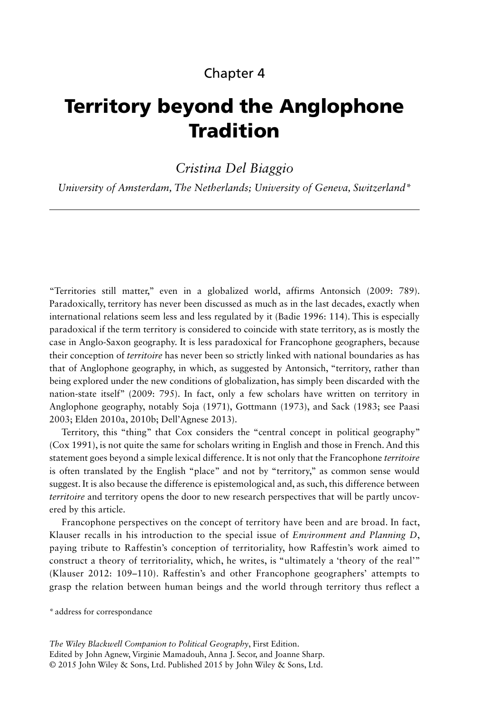# Chapter 4

# Territory beyond the Anglophone **Tradition**

# *Cristina Del Biaggio*

*University of Amsterdam, The Netherlands; University of Geneva, Switzerland\**

"Territories still matter," even in a globalized world, affirms Antonsich (2009: 789). Paradoxically, territory has never been discussed as much as in the last decades, exactly when international relations seem less and less regulated by it (Badie 1996: 114). This is especially paradoxical if the term territory is considered to coincide with state territory, as is mostly the case in Anglo‐Saxon geography. It is less paradoxical for Francophone geographers, because their conception of *territoire* has never been so strictly linked with national boundaries as has that of Anglophone geography, in which, as suggested by Antonsich, "territory, rather than being explored under the new conditions of globalization, has simply been discarded with the nation‐state itself" (2009: 795). In fact, only a few scholars have written on territory in Anglophone geography, notably Soja (1971), Gottmann (1973), and Sack (1983; see Paasi 2003; Elden 2010a, 2010b; Dell'Agnese 2013).

Territory, this "thing" that Cox considers the "central concept in political geography" (Cox 1991), is not quite the same for scholars writing in English and those in French. And this statement goes beyond a simple lexical difference. It is not only that the Francophone *territoire* is often translated by the English "place" and not by "territory," as common sense would suggest. It is also because the difference is epistemological and, as such, this difference between *territoire* and territory opens the door to new research perspectives that will be partly uncovered by this article.

Francophone perspectives on the concept of territory have been and are broad. In fact, Klauser recalls in his introduction to the special issue of *Environment and Planning D*, paying tribute to Raffestin's conception of territoriality, how Raffestin's work aimed to construct a theory of territoriality, which, he writes, is "ultimately a 'theory of the real'" (Klauser 2012: 109–110). Raffestin's and other Francophone geographers' attempts to grasp the relation between human beings and the world through territory thus reflect a

\*address for correspondance

*The Wiley Blackwell Companion to Political Geography*, First Edition. Edited by John Agnew, Virginie Mamadouh, Anna J. Secor, and Joanne Sharp. © 2015 John Wiley & Sons, Ltd. Published 2015 by John Wiley & Sons, Ltd.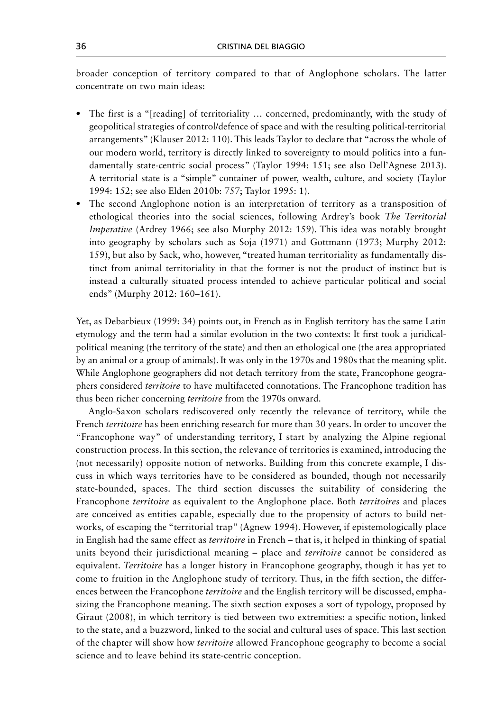broader conception of territory compared to that of Anglophone scholars. The latter concentrate on two main ideas:

- The first is a "[reading] of territoriality ... concerned, predominantly, with the study of geopolitical strategies of control/defence of space and with the resulting political‐territorial arrangements" (Klauser 2012: 110). This leads Taylor to declare that "across the whole of our modern world, territory is directly linked to sovereignty to mould politics into a fundamentally state-centric social process" (Taylor 1994: 151; see also Dell'Agnese 2013). A territorial state is a "simple" container of power, wealth, culture, and society (Taylor 1994: 152; see also Elden 2010b: 757; Taylor 1995: 1).
- The second Anglophone notion is an interpretation of territory as a transposition of ethological theories into the social sciences, following Ardrey's book *The Territorial Imperative* (Ardrey 1966; see also Murphy 2012: 159). This idea was notably brought into geography by scholars such as Soja (1971) and Gottmann (1973; Murphy 2012: 159), but also by Sack, who, however, "treated human territoriality as fundamentally distinct from animal territoriality in that the former is not the product of instinct but is instead a culturally situated process intended to achieve particular political and social ends" (Murphy 2012: 160–161).

Yet, as Debarbieux (1999: 34) points out, in French as in English territory has the same Latin etymology and the term had a similar evolution in the two contexts: It first took a juridical‐ political meaning (the territory of the state) and then an ethological one (the area appropriated by an animal or a group of animals). It was only in the 1970s and 1980s that the meaning split. While Anglophone geographers did not detach territory from the state, Francophone geographers considered *territoire* to have multifaceted connotations. The Francophone tradition has thus been richer concerning *territoire* from the 1970s onward.

Anglo‐Saxon scholars rediscovered only recently the relevance of territory, while the French *territoire* has been enriching research for more than 30 years. In order to uncover the "Francophone way" of understanding territory, I start by analyzing the Alpine regional construction process. In this section, the relevance of territories is examined, introducing the (not necessarily) opposite notion of networks. Building from this concrete example, I discuss in which ways territories have to be considered as bounded, though not necessarily state‐bounded, spaces. The third section discusses the suitability of considering the Francophone *territoire* as equivalent to the Anglophone place. Both *territoires* and places are conceived as entities capable, especially due to the propensity of actors to build networks, of escaping the "territorial trap" (Agnew 1994). However, if epistemologically place in English had the same effect as *territoire* in French – that is, it helped in thinking of spatial units beyond their jurisdictional meaning – place and *territoire* cannot be considered as equivalent. *Territoire* has a longer history in Francophone geography, though it has yet to come to fruition in the Anglophone study of territory. Thus, in the fifth section, the differences between the Francophone *territoire* and the English territory will be discussed, emphasizing the Francophone meaning. The sixth section exposes a sort of typology, proposed by Giraut (2008), in which territory is tied between two extremities: a specific notion, linked to the state, and a buzzword, linked to the social and cultural uses of space. This last section of the chapter will show how *territoire* allowed Francophone geography to become a social science and to leave behind its state-centric conception.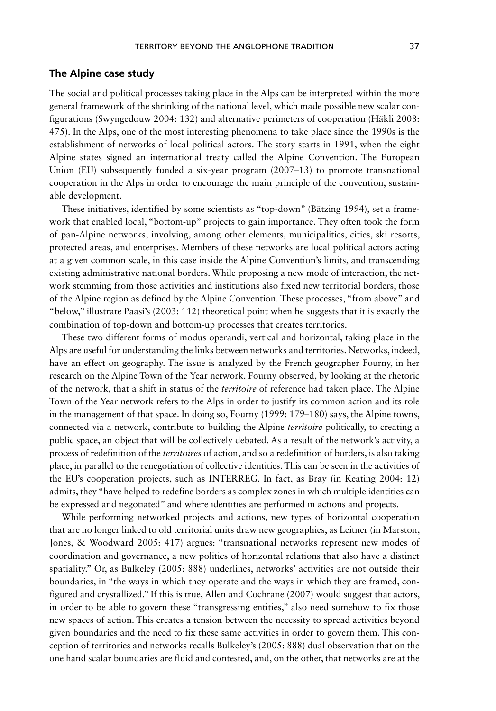#### **The Alpine case study**

The social and political processes taking place in the Alps can be interpreted within the more general framework of the shrinking of the national level, which made possible new scalar configurations (Swyngedouw 2004: 132) and alternative perimeters of cooperation (Häkli 2008: 475). In the Alps, one of the most interesting phenomena to take place since the 1990s is the establishment of networks of local political actors. The story starts in 1991, when the eight Alpine states signed an international treaty called the Alpine Convention. The European Union (EU) subsequently funded a six-year program  $(2007-13)$  to promote transnational cooperation in the Alps in order to encourage the main principle of the convention, sustainable development.

These initiatives, identified by some scientists as "top-down" (Bätzing 1994), set a framework that enabled local, "bottom-up" projects to gain importance. They often took the form of pan‐Alpine networks, involving, among other elements, municipalities, cities, ski resorts, protected areas, and enterprises. Members of these networks are local political actors acting at a given common scale, in this case inside the Alpine Convention's limits, and transcending existing administrative national borders. While proposing a new mode of interaction, the network stemming from those activities and institutions also fixed new territorial borders, those of the Alpine region as defined by the Alpine Convention. These processes, "from above" and "below," illustrate Paasi's (2003: 112) theoretical point when he suggests that it is exactly the combination of top‐down and bottom‐up processes that creates territories.

These two different forms of modus operandi, vertical and horizontal, taking place in the Alps are useful for understanding the links between networks and territories. Networks, indeed, have an effect on geography. The issue is analyzed by the French geographer Fourny, in her research on the Alpine Town of the Year network. Fourny observed, by looking at the rhetoric of the network, that a shift in status of the *territoire* of reference had taken place. The Alpine Town of the Year network refers to the Alps in order to justify its common action and its role in the management of that space. In doing so, Fourny (1999: 179–180) says, the Alpine towns, connected via a network, contribute to building the Alpine *territoire* politically, to creating a public space, an object that will be collectively debated. As a result of the network's activity, a process of redefinition of the *territoires* of action, and so a redefinition of borders, is also taking place, in parallel to the renegotiation of collective identities. This can be seen in the activities of the EU's cooperation projects, such as INTERREG. In fact, as Bray (in Keating 2004: 12) admits, they "have helped to redefine borders as complex zones in which multiple identities can be expressed and negotiated" and where identities are performed in actions and projects.

While performing networked projects and actions, new types of horizontal cooperation that are no longer linked to old territorial units draw new geographies, as Leitner (in Marston, Jones, & Woodward 2005: 417) argues: "transnational networks represent new modes of coordination and governance, a new politics of horizontal relations that also have a distinct spatiality." Or, as Bulkeley (2005: 888) underlines, networks' activities are not outside their boundaries, in "the ways in which they operate and the ways in which they are framed, configured and crystallized." If this is true, Allen and Cochrane (2007) would suggest that actors, in order to be able to govern these "transgressing entities," also need somehow to fix those new spaces of action. This creates a tension between the necessity to spread activities beyond given boundaries and the need to fix these same activities in order to govern them. This conception of territories and networks recalls Bulkeley's (2005: 888) dual observation that on the one hand scalar boundaries are fluid and contested, and, on the other, that networks are at the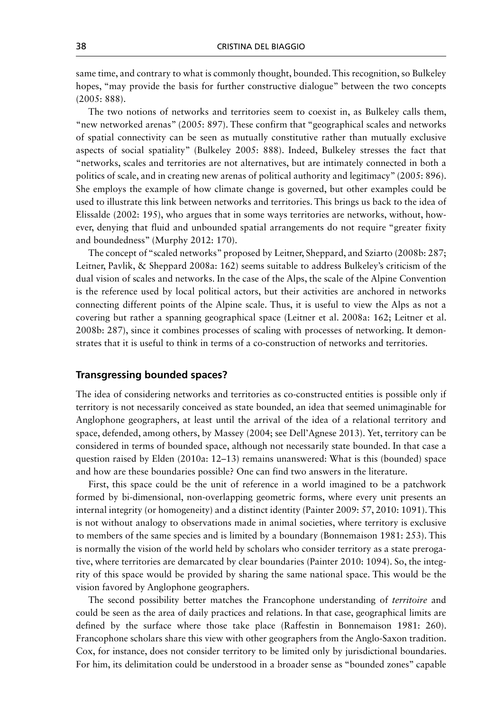same time, and contrary to what is commonly thought, bounded. This recognition, so Bulkeley hopes, "may provide the basis for further constructive dialogue" between the two concepts (2005: 888).

The two notions of networks and territories seem to coexist in, as Bulkeley calls them, "new networked arenas" (2005: 897). These confirm that "geographical scales and networks of spatial connectivity can be seen as mutually constitutive rather than mutually exclusive aspects of social spatiality" (Bulkeley 2005: 888). Indeed, Bulkeley stresses the fact that "networks, scales and territories are not alternatives, but are intimately connected in both a politics of scale, and in creating new arenas of political authority and legitimacy" (2005: 896). She employs the example of how climate change is governed, but other examples could be used to illustrate this link between networks and territories. This brings us back to the idea of Elissalde (2002: 195), who argues that in some ways territories are networks, without, however, denying that fluid and unbounded spatial arrangements do not require "greater fixity and boundedness" (Murphy 2012: 170).

The concept of "scaled networks" proposed by Leitner, Sheppard, and Sziarto (2008b: 287; Leitner, Pavlik, & Sheppard 2008a: 162) seems suitable to address Bulkeley's criticism of the dual vision of scales and networks. In the case of the Alps, the scale of the Alpine Convention is the reference used by local political actors, but their activities are anchored in networks connecting different points of the Alpine scale. Thus, it is useful to view the Alps as not a covering but rather a spanning geographical space (Leitner et al. 2008a: 162; Leitner et al. 2008b: 287), since it combines processes of scaling with processes of networking. It demonstrates that it is useful to think in terms of a co-construction of networks and territories.

#### **Transgressing bounded spaces?**

The idea of considering networks and territories as co-constructed entities is possible only if territory is not necessarily conceived as state bounded, an idea that seemed unimaginable for Anglophone geographers, at least until the arrival of the idea of a relational territory and space, defended, among others, by Massey (2004; see Dell'Agnese 2013). Yet, territory can be considered in terms of bounded space, although not necessarily state bounded. In that case a question raised by Elden (2010a: 12–13) remains unanswered: What is this (bounded) space and how are these boundaries possible? One can find two answers in the literature.

First, this space could be the unit of reference in a world imagined to be a patchwork formed by bi-dimensional, non-overlapping geometric forms, where every unit presents an internal integrity (or homogeneity) and a distinct identity (Painter 2009: 57, 2010: 1091). This is not without analogy to observations made in animal societies, where territory is exclusive to members of the same species and is limited by a boundary (Bonnemaison 1981: 253). This is normally the vision of the world held by scholars who consider territory as a state prerogative, where territories are demarcated by clear boundaries (Painter 2010: 1094). So, the integrity of this space would be provided by sharing the same national space. This would be the vision favored by Anglophone geographers.

The second possibility better matches the Francophone understanding of *territoire* and could be seen as the area of daily practices and relations. In that case, geographical limits are defined by the surface where those take place (Raffestin in Bonnemaison 1981: 260). Francophone scholars share this view with other geographers from the Anglo-Saxon tradition. Cox, for instance, does not consider territory to be limited only by jurisdictional boundaries. For him, its delimitation could be understood in a broader sense as "bounded zones" capable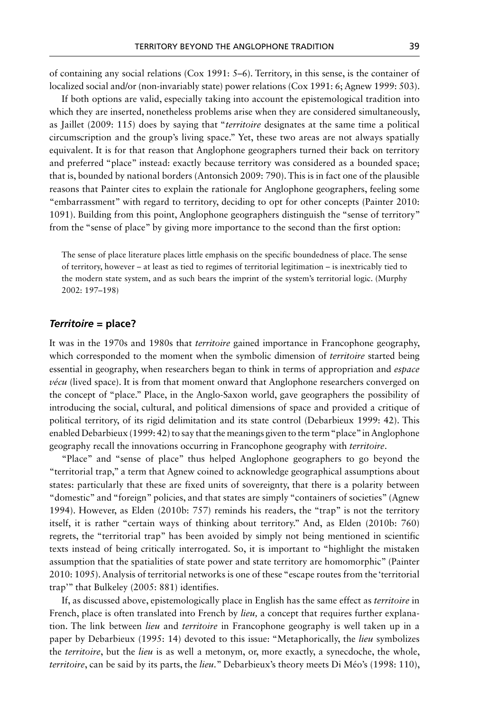of containing any social relations (Cox 1991: 5–6). Territory, in this sense, is the container of localized social and/or (non-invariably state) power relations (Cox 1991: 6; Agnew 1999: 503).

If both options are valid, especially taking into account the epistemological tradition into which they are inserted, nonetheless problems arise when they are considered simultaneously, as Jaillet (2009: 115) does by saying that "*territoire* designates at the same time a political circumscription and the group's living space." Yet, these two areas are not always spatially equivalent. It is for that reason that Anglophone geographers turned their back on territory and preferred "place" instead: exactly because territory was considered as a bounded space; that is, bounded by national borders (Antonsich 2009: 790). This is in fact one of the plausible reasons that Painter cites to explain the rationale for Anglophone geographers, feeling some "embarrassment" with regard to territory, deciding to opt for other concepts (Painter 2010: 1091). Building from this point, Anglophone geographers distinguish the "sense of territory" from the "sense of place" by giving more importance to the second than the first option:

The sense of place literature places little emphasis on the specific boundedness of place. The sense of territory, however – at least as tied to regimes of territorial legitimation – is inextricably tied to the modern state system, and as such bears the imprint of the system's territorial logic. (Murphy 2002: 197–198)

# *Territoire* **= place?**

It was in the 1970s and 1980s that *territoire* gained importance in Francophone geography, which corresponded to the moment when the symbolic dimension of *territoire* started being essential in geography, when researchers began to think in terms of appropriation and *espace vécu* (lived space). It is from that moment onward that Anglophone researchers converged on the concept of "place." Place, in the Anglo‐Saxon world, gave geographers the possibility of introducing the social, cultural, and political dimensions of space and provided a critique of political territory, of its rigid delimitation and its state control (Debarbieux 1999: 42). This enabled Debarbieux (1999: 42) to say that the meanings given to the term "place" in Anglophone geography recall the innovations occurring in Francophone geography with *territoire*.

"Place" and "sense of place" thus helped Anglophone geographers to go beyond the "territorial trap," a term that Agnew coined to acknowledge geographical assumptions about states: particularly that these are fixed units of sovereignty, that there is a polarity between "domestic" and "foreign" policies, and that states are simply "containers of societies" (Agnew 1994). However, as Elden (2010b: 757) reminds his readers, the "trap" is not the territory itself, it is rather "certain ways of thinking about territory." And, as Elden (2010b: 760) regrets, the "territorial trap" has been avoided by simply not being mentioned in scientific texts instead of being critically interrogated. So, it is important to "highlight the mistaken assumption that the spatialities of state power and state territory are homomorphic" (Painter 2010: 1095). Analysis of territorial networks is one of these "escape routes from the 'territorial trap'" that Bulkeley (2005: 881) identifies.

If, as discussed above, epistemologically place in English has the same effect as *territoire* in French, place is often translated into French by *lieu,* a concept that requires further explanation. The link between *lieu* and *territoire* in Francophone geography is well taken up in a paper by Debarbieux (1995: 14) devoted to this issue: "Metaphorically, the *lieu* symbolizes the *territoire*, but the *lieu* is as well a metonym, or, more exactly, a synecdoche, the whole, *territoire*, can be said by its parts, the *lieu.*" Debarbieux's theory meets Di Méo's (1998: 110),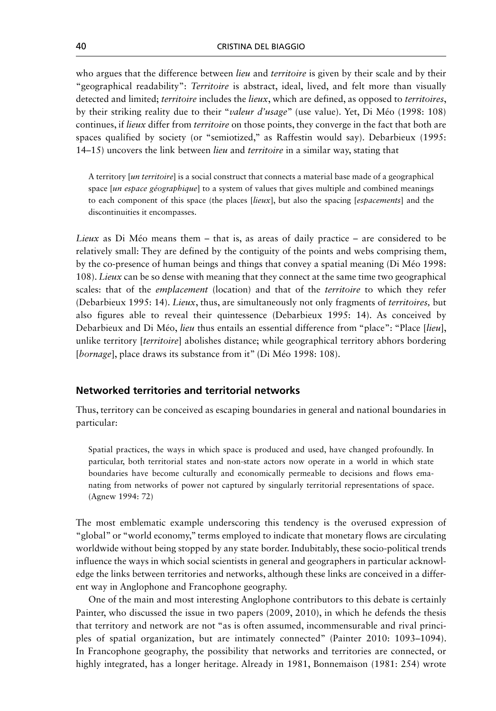who argues that the difference between *lieu* and *territoire* is given by their scale and by their "geographical readability": *Territoire* is abstract, ideal, lived, and felt more than visually detected and limited; *territoire* includes the *lieux*, which are defined, as opposed to *territoires*, by their striking reality due to their "*valeur d'usage*" (use value). Yet, Di Méo (1998: 108) continues, if *lieux* differ from *territoire* on those points, they converge in the fact that both are spaces qualified by society (or "semiotized," as Raffestin would say). Debarbieux (1995: 14–15) uncovers the link between *lieu* and *territoire* in a similar way, stating that

A territory [*un territoire*] is a social construct that connects a material base made of a geographical space [*un espace géographique*] to a system of values that gives multiple and combined meanings to each component of this space (the places [*lieux*], but also the spacing [*espacements*] and the discontinuities it encompasses.

*Lieux* as Di Méo means them – that is, as areas of daily practice – are considered to be relatively small: They are defined by the contiguity of the points and webs comprising them, by the co-presence of human beings and things that convey a spatial meaning (Di Méo 1998: 108). *Lieux* can be so dense with meaning that they connect at the same time two geographical scales: that of the *emplacement* (location) and that of the *territoire* to which they refer (Debarbieux 1995: 14). *Lieux*, thus, are simultaneously not only fragments of *territoires,* but also figures able to reveal their quintessence (Debarbieux 1995: 14). As conceived by Debarbieux and Di Méo, *lieu* thus entails an essential difference from "place": "Place [*lieu*], unlike territory [*territoire*] abolishes distance; while geographical territory abhors bordering [*bornage*], place draws its substance from it" (Di Méo 1998: 108).

# **Networked territories and territorial networks**

Thus, territory can be conceived as escaping boundaries in general and national boundaries in particular:

Spatial practices, the ways in which space is produced and used, have changed profoundly. In particular, both territorial states and non‐state actors now operate in a world in which state boundaries have become culturally and economically permeable to decisions and flows emanating from networks of power not captured by singularly territorial representations of space. (Agnew 1994: 72)

The most emblematic example underscoring this tendency is the overused expression of "global" or "world economy," terms employed to indicate that monetary flows are circulating worldwide without being stopped by any state border. Indubitably, these socio‐political trends influence the ways in which social scientists in general and geographers in particular acknowledge the links between territories and networks, although these links are conceived in a different way in Anglophone and Francophone geography.

One of the main and most interesting Anglophone contributors to this debate is certainly Painter, who discussed the issue in two papers (2009, 2010), in which he defends the thesis that territory and network are not "as is often assumed, incommensurable and rival principles of spatial organization, but are intimately connected" (Painter 2010: 1093–1094). In Francophone geography, the possibility that networks and territories are connected, or highly integrated, has a longer heritage. Already in 1981, Bonnemaison (1981: 254) wrote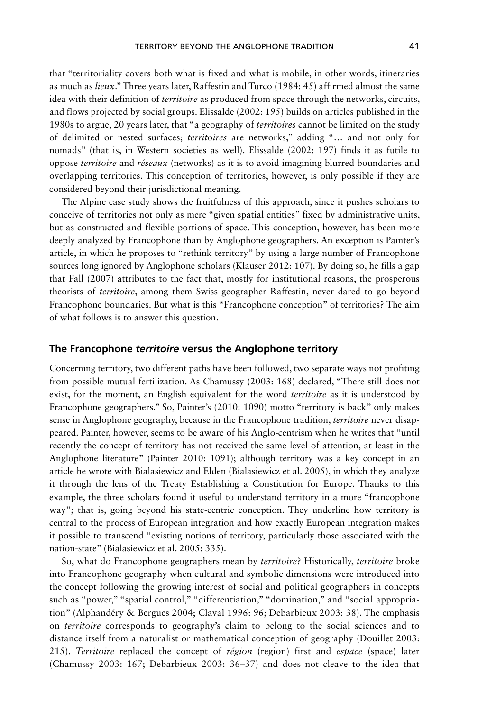that "territoriality covers both what is fixed and what is mobile, in other words, itineraries as much as *lieux*." Three years later, Raffestin and Turco (1984: 45) affirmed almost the same idea with their definition of *territoire* as produced from space through the networks, circuits, and flows projected by social groups. Elissalde (2002: 195) builds on articles published in the 1980s to argue, 20 years later, that "a geography of *territoires* cannot be limited on the study of delimited or nested surfaces; *territoires* are networks," adding "… and not only for nomads" (that is, in Western societies as well). Elissalde (2002: 197) finds it as futile to oppose *territoire* and *réseaux* (networks) as it is to avoid imagining blurred boundaries and overlapping territories. This conception of territories, however, is only possible if they are considered beyond their jurisdictional meaning.

The Alpine case study shows the fruitfulness of this approach, since it pushes scholars to conceive of territories not only as mere "given spatial entities" fixed by administrative units, but as constructed and flexible portions of space. This conception, however, has been more deeply analyzed by Francophone than by Anglophone geographers. An exception is Painter's article, in which he proposes to "rethink territory" by using a large number of Francophone sources long ignored by Anglophone scholars (Klauser 2012: 107). By doing so, he fills a gap that Fall (2007) attributes to the fact that, mostly for institutional reasons, the prosperous theorists of *territoire*, among them Swiss geographer Raffestin, never dared to go beyond Francophone boundaries. But what is this "Francophone conception" of territories? The aim of what follows is to answer this question.

### **The Francophone** *territoire* **versus the Anglophone territory**

Concerning territory, two different paths have been followed, two separate ways not profiting from possible mutual fertilization. As Chamussy (2003: 168) declared, "There still does not exist, for the moment, an English equivalent for the word *territoire* as it is understood by Francophone geographers." So, Painter's (2010: 1090) motto "territory is back" only makes sense in Anglophone geography, because in the Francophone tradition, *territoire* never disappeared. Painter, however, seems to be aware of his Anglo‐centrism when he writes that "until recently the concept of territory has not received the same level of attention, at least in the Anglophone literature" (Painter 2010: 1091); although territory was a key concept in an article he wrote with Bialasiewicz and Elden (Bialasiewicz et al. 2005), in which they analyze it through the lens of the Treaty Establishing a Constitution for Europe. Thanks to this example, the three scholars found it useful to understand territory in a more "francophone way"; that is, going beyond his state-centric conception. They underline how territory is central to the process of European integration and how exactly European integration makes it possible to transcend "existing notions of territory, particularly those associated with the nation‐state" (Bialasiewicz et al. 2005: 335).

So, what do Francophone geographers mean by *territoire*? Historically, *territoire* broke into Francophone geography when cultural and symbolic dimensions were introduced into the concept following the growing interest of social and political geographers in concepts such as "power," "spatial control," "differentiation," "domination," and "social appropriation" (Alphandéry & Bergues 2004; Claval 1996: 96; Debarbieux 2003: 38). The emphasis on *territoire* corresponds to geography's claim to belong to the social sciences and to distance itself from a naturalist or mathematical conception of geography (Douillet 2003: 215). *Territoire* replaced the concept of *région* (region) first and *espace* (space) later (Chamussy 2003: 167; Debarbieux 2003: 36–37) and does not cleave to the idea that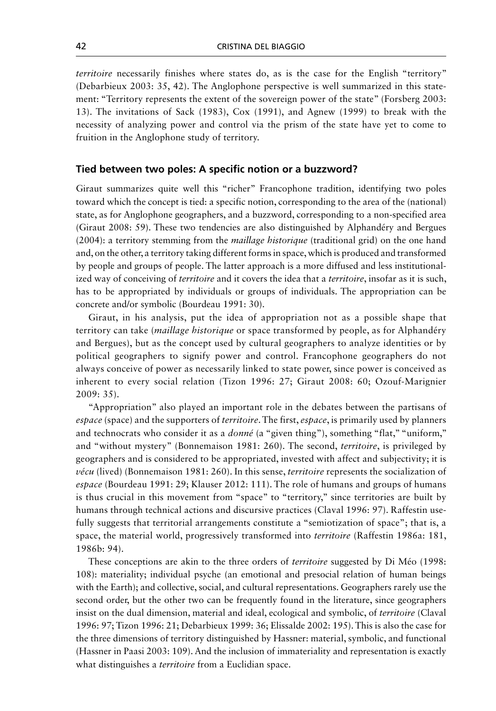*territoire* necessarily finishes where states do, as is the case for the English "territory" (Debarbieux 2003: 35, 42). The Anglophone perspective is well summarized in this statement: "Territory represents the extent of the sovereign power of the state" (Forsberg 2003: 13). The invitations of Sack (1983), Cox (1991), and Agnew (1999) to break with the necessity of analyzing power and control via the prism of the state have yet to come to fruition in the Anglophone study of territory.

# **Tied between two poles: A specific notion or a buzzword?**

Giraut summarizes quite well this "richer" Francophone tradition, identifying two poles toward which the concept is tied: a specific notion, corresponding to the area of the (national) state, as for Anglophone geographers, and a buzzword, corresponding to a non‐specified area (Giraut 2008: 59). These two tendencies are also distinguished by Alphandéry and Bergues (2004): a territory stemming from the *maillage historique* (traditional grid) on the one hand and, on the other, a territory taking different forms in space, which is produced and transformed by people and groups of people. The latter approach is a more diffused and less institutionalized way of conceiving of *territoire* and it covers the idea that a *territoire*, insofar as it is such, has to be appropriated by individuals or groups of individuals. The appropriation can be concrete and/or symbolic (Bourdeau 1991: 30).

Giraut, in his analysis, put the idea of appropriation not as a possible shape that territory can take (*maillage historique* or space transformed by people, as for Alphandéry and Bergues), but as the concept used by cultural geographers to analyze identities or by political geographers to signify power and control. Francophone geographers do not always conceive of power as necessarily linked to state power, since power is conceived as inherent to every social relation (Tizon 1996: 27; Giraut 2008: 60; Ozouf‐Marignier 2009: 35).

"Appropriation" also played an important role in the debates between the partisans of *espace* (space) and the supporters of *territoire*. The first, *espace*, is primarily used by planners and technocrats who consider it as a *donné* (a "given thing"), something "flat," "uniform," and "without mystery" (Bonnemaison 1981: 260). The second, *territoire*, is privileged by geographers and is considered to be appropriated, invested with affect and subjectivity; it is *vécu* (lived) (Bonnemaison 1981: 260). In this sense, *territoire* represents the socialization of *espace* (Bourdeau 1991: 29; Klauser 2012: 111). The role of humans and groups of humans is thus crucial in this movement from "space" to "territory," since territories are built by humans through technical actions and discursive practices (Claval 1996: 97). Raffestin usefully suggests that territorial arrangements constitute a "semiotization of space"; that is, a space, the material world, progressively transformed into *territoire* (Raffestin 1986a: 181, 1986b: 94).

These conceptions are akin to the three orders of *territoire* suggested by Di Méo (1998: 108): materiality; individual psyche (an emotional and presocial relation of human beings with the Earth); and collective, social, and cultural representations. Geographers rarely use the second order, but the other two can be frequently found in the literature, since geographers insist on the dual dimension, material and ideal, ecological and symbolic, of *territoire* (Claval 1996: 97; Tizon 1996: 21; Debarbieux 1999: 36; Elissalde 2002: 195). This is also the case for the three dimensions of territory distinguished by Hassner: material, symbolic, and functional (Hassner in Paasi 2003: 109). And the inclusion of immateriality and representation is exactly what distinguishes a *territoire* from a Euclidian space.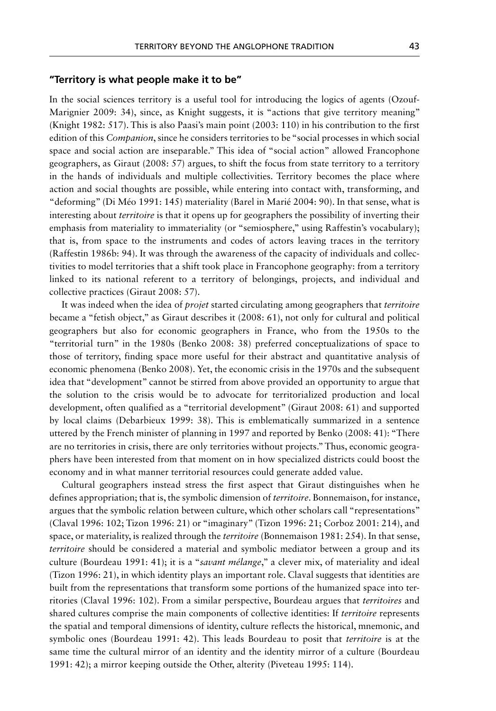In the social sciences territory is a useful tool for introducing the logics of agents (Ozouf-Marignier 2009: 34), since, as Knight suggests, it is "actions that give territory meaning" (Knight 1982: 517). This is also Paasi's main point (2003: 110) in his contribution to the first edition of this *Companion*, since he considers territories to be "social processes in which social space and social action are inseparable." This idea of "social action" allowed Francophone geographers, as Giraut (2008: 57) argues, to shift the focus from state territory to a territory in the hands of individuals and multiple collectivities. Territory becomes the place where action and social thoughts are possible, while entering into contact with, transforming, and "deforming" (Di Méo 1991: 145) materiality (Barel in Marié 2004: 90). In that sense, what is interesting about *territoire* is that it opens up for geographers the possibility of inverting their emphasis from materiality to immateriality (or "semiosphere," using Raffestin's vocabulary); that is, from space to the instruments and codes of actors leaving traces in the territory (Raffestin 1986b: 94). It was through the awareness of the capacity of individuals and collectivities to model territories that a shift took place in Francophone geography: from a territory linked to its national referent to a territory of belongings, projects, and individual and collective practices (Giraut 2008: 57).

It was indeed when the idea of *projet* started circulating among geographers that *territoire* became a "fetish object," as Giraut describes it (2008: 61), not only for cultural and political geographers but also for economic geographers in France, who from the 1950s to the "territorial turn" in the 1980s (Benko 2008: 38) preferred conceptualizations of space to those of territory, finding space more useful for their abstract and quantitative analysis of economic phenomena (Benko 2008). Yet, the economic crisis in the 1970s and the subsequent idea that "development" cannot be stirred from above provided an opportunity to argue that the solution to the crisis would be to advocate for territorialized production and local development, often qualified as a "territorial development" (Giraut 2008: 61) and supported by local claims (Debarbieux 1999: 38). This is emblematically summarized in a sentence uttered by the French minister of planning in 1997 and reported by Benko (2008: 41): "There are no territories in crisis, there are only territories without projects." Thus, economic geographers have been interested from that moment on in how specialized districts could boost the economy and in what manner territorial resources could generate added value.

Cultural geographers instead stress the first aspect that Giraut distinguishes when he defines appropriation; that is, the symbolic dimension of *territoire*. Bonnemaison, for instance, argues that the symbolic relation between culture, which other scholars call "representations" (Claval 1996: 102; Tizon 1996: 21) or "imaginary" (Tizon 1996: 21; Corboz 2001: 214), and space, or materiality, is realized through the *territoire* (Bonnemaison 1981: 254). In that sense, *territoire* should be considered a material and symbolic mediator between a group and its culture (Bourdeau 1991: 41); it is a "*savant mélange*," a clever mix, of materiality and ideal (Tizon 1996: 21), in which identity plays an important role. Claval suggests that identities are built from the representations that transform some portions of the humanized space into territories (Claval 1996: 102). From a similar perspective, Bourdeau argues that *territoires* and shared cultures comprise the main components of collective identities: If *territoire* represents the spatial and temporal dimensions of identity, culture reflects the historical, mnemonic, and symbolic ones (Bourdeau 1991: 42). This leads Bourdeau to posit that *territoire* is at the same time the cultural mirror of an identity and the identity mirror of a culture (Bourdeau 1991: 42); a mirror keeping outside the Other, alterity (Piveteau 1995: 114).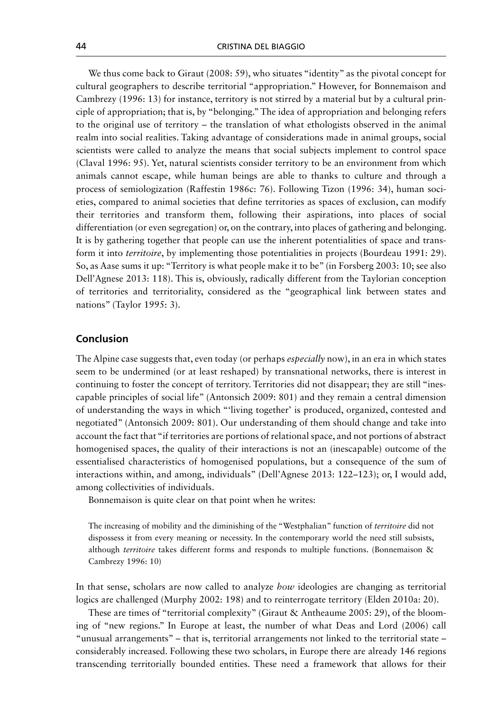We thus come back to Giraut (2008: 59), who situates "identity" as the pivotal concept for cultural geographers to describe territorial "appropriation." However, for Bonnemaison and Cambrezy (1996: 13) for instance, territory is not stirred by a material but by a cultural principle of appropriation; that is, by "belonging." The idea of appropriation and belonging refers to the original use of territory – the translation of what ethologists observed in the animal realm into social realities. Taking advantage of considerations made in animal groups, social scientists were called to analyze the means that social subjects implement to control space (Claval 1996: 95). Yet, natural scientists consider territory to be an environment from which animals cannot escape, while human beings are able to thanks to culture and through a process of semiologization (Raffestin 1986c: 76). Following Tizon (1996: 34), human societies, compared to animal societies that define territories as spaces of exclusion, can modify their territories and transform them, following their aspirations, into places of social differentiation (or even segregation) or, on the contrary, into places of gathering and belonging. It is by gathering together that people can use the inherent potentialities of space and transform it into *territoire*, by implementing those potentialities in projects (Bourdeau 1991: 29). So, as Aase sums it up: "Territory is what people make it to be" (in Forsberg 2003: 10; see also Dell'Agnese 2013: 118). This is, obviously, radically different from the Taylorian conception of territories and territoriality, considered as the "geographical link between states and nations" (Taylor 1995: 3).

#### **Conclusion**

The Alpine case suggests that, even today (or perhaps *especially* now), in an era in which states seem to be undermined (or at least reshaped) by transnational networks, there is interest in continuing to foster the concept of territory. Territories did not disappear; they are still "inescapable principles of social life" (Antonsich 2009: 801) and they remain a central dimension of understanding the ways in which "'living together' is produced, organized, contested and negotiated" (Antonsich 2009: 801). Our understanding of them should change and take into account the fact that "if territories are portions of relational space, and not portions of abstract homogenised spaces, the quality of their interactions is not an (inescapable) outcome of the essentialised characteristics of homogenised populations, but a consequence of the sum of interactions within, and among, individuals" (Dell'Agnese 2013: 122–123); or, I would add, among collectivities of individuals.

Bonnemaison is quite clear on that point when he writes:

The increasing of mobility and the diminishing of the "Westphalian" function of *territoire* did not dispossess it from every meaning or necessity. In the contemporary world the need still subsists, although *territoire* takes different forms and responds to multiple functions. (Bonnemaison & Cambrezy 1996: 10)

In that sense, scholars are now called to analyze *how* ideologies are changing as territorial logics are challenged (Murphy 2002: 198) and to reinterrogate territory (Elden 2010a: 20).

These are times of "territorial complexity" (Giraut & Antheaume 2005: 29), of the blooming of "new regions." In Europe at least, the number of what Deas and Lord (2006) call "unusual arrangements" – that is, territorial arrangements not linked to the territorial state – considerably increased. Following these two scholars, in Europe there are already 146 regions transcending territorially bounded entities. These need a framework that allows for their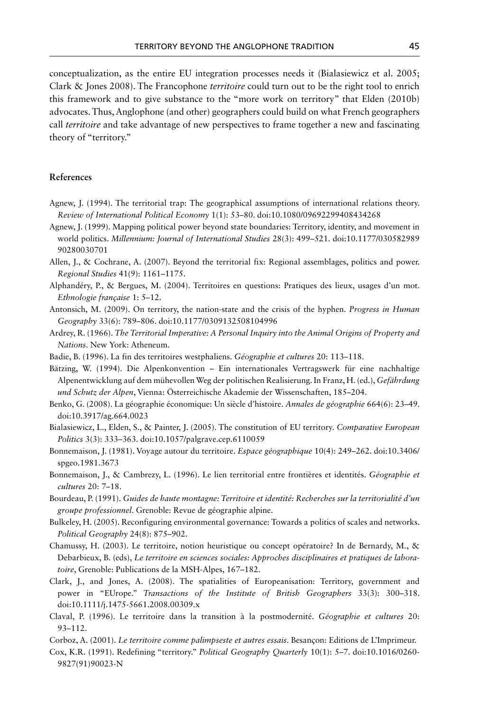conceptualization, as the entire EU integration processes needs it (Bialasiewicz et al. 2005; Clark & Jones 2008). The Francophone *territoire* could turn out to be the right tool to enrich this framework and to give substance to the "more work on territory" that Elden (2010b) advocates. Thus, Anglophone (and other) geographers could build on what French geographers call *territoire* and take advantage of new perspectives to frame together a new and fascinating theory of "territory."

#### **References**

- Agnew, J. (1994). The territorial trap: The geographical assumptions of international relations theory. *Review of International Political Economy* 1(1): 53–80. doi:10.1080/09692299408434268
- Agnew, J. (1999). Mapping political power beyond state boundaries: Territory, identity, and movement in world politics. *Millennium: Journal of International Studies* 28(3): 499–521. doi:10.1177/030582989 90280030701
- Allen, J., & Cochrane, A. (2007). Beyond the territorial fix: Regional assemblages, politics and power. *Regional Studies* 41(9): 1161–1175.
- Alphandéry, P., & Bergues, M. (2004). Territoires en questions: Pratiques des lieux, usages d'un mot. *Ethnologie française* 1: 5–12.
- Antonsich, M. (2009). On territory, the nation‐state and the crisis of the hyphen. *Progress in Human Geography* 33(6): 789–806. doi:10.1177/0309132508104996
- Ardrey, R. (1966). *The Territorial Imperative: A Personal Inquiry into the Animal Origins of Property and Nations*. New York: Atheneum.
- Badie, B. (1996). La fin des territoires westphaliens. *Géographie et cultures* 20: 113–118.
- Bätzing, W. (1994). Die Alpenkonvention Ein internationales Vertragswerk für eine nachhaltige Alpenentwicklung auf dem mühevollen Weg der politischen Realisierung. In Franz, H. (ed.), *Gefährdung und Schutz der Alpen*, Vienna: Österreichische Akademie der Wissenschaften, 185–204.
- Benko, G. (2008). La géographie économique: Un siècle d'histoire. *Annales de géographie* 664(6): 23–49. doi:10.3917/ag.664.0023
- Bialasiewicz, L., Elden, S., & Painter, J. (2005). The constitution of EU territory. *Comparative European Politics* 3(3): 333–363. doi:10.1057/palgrave.cep.6110059
- Bonnemaison, J. (1981). Voyage autour du territoire. *Espace géographique* 10(4): 249–262. doi:10.3406/ spgeo.1981.3673
- Bonnemaison, J., & Cambrezy, L. (1996). Le lien territorial entre frontières et identités. *Géographie et cultures* 20: 7–18.
- Bourdeau, P. (1991). *Guides de haute montagne: Territoire et identité: Recherches sur la territorialité d'un groupe professionnel*. Grenoble: Revue de géographie alpine.
- Bulkeley, H. (2005). Reconfiguring environmental governance: Towards a politics of scales and networks. *Political Geography* 24(8): 875–902.
- Chamussy, H. (2003). Le territoire, notion heuristique ou concept opératoire? In de Bernardy, M., & Debarbieux, B. (eds), *Le territoire en sciences sociales: Approches disciplinaires et pratiques de laboratoire*, Grenoble: Publications de la MSH‐Alpes, 167–182.
- Clark, J., and Jones, A. (2008). The spatialities of Europeanisation: Territory, government and power in "EUrope." *Transactions of the Institute of British Geographers* 33(3): 300–318. doi:10.1111/j.1475‐5661.2008.00309.x
- Claval, P. (1996). Le territoire dans la transition à la postmodernité. *Géographie et cultures* 20: 93–112.
- Corboz, A. (2001). *Le territoire comme palimpseste et autres essais*. Besançon: Editions de L'Imprimeur.
- Cox, K.R. (1991). Redefining "territory." *Political Geography Quarterly* 10(1): 5–7. doi:10.1016/0260‐ 9827(91)90023‐N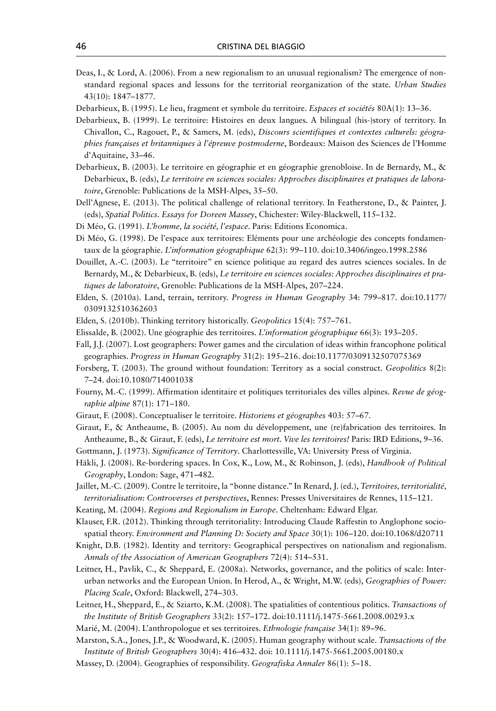Deas, I., & Lord, A. (2006). From a new regionalism to an unusual regionalism? The emergence of nonstandard regional spaces and lessons for the territorial reorganization of the state. *Urban Studies* 43(10): 1847–1877.

Debarbieux, B. (1995). Le lieu, fragment et symbole du territoire. *Espaces et sociétés* 80A(1): 13–36.

- Debarbieux, B. (1999). Le territoire: Histoires en deux langues. A bilingual (his‐)story of territory. In Chivallon, C., Ragouet, P., & Samers, M. (eds), *Discours scientifiques et contextes culturels: géographies françaises et britanniques à l'épreuve postmoderne*, Bordeaux: Maison des Sciences de l'Homme d'Aquitaine, 33–46.
- Debarbieux, B. (2003). Le territoire en géographie et en géographie grenobloise. In de Bernardy, M., & Debarbieux, B. (eds), *Le territoire en sciences sociales: Approches disciplinaires et pratiques de laboratoire*, Grenoble: Publications de la MSH‐Alpes, 35–50.
- Dell'Agnese, E. (2013). The political challenge of relational territory. In Featherstone, D., & Painter, J. (eds), *Spatial Politics. Essays for Doreen Massey*, Chichester: Wiley‐Blackwell, 115–132.
- Di Méo, G. (1991). *L'homme, la société, l'espace*. Paris: Editions Economica.
- Di Méo, G. (1998). De l'espace aux territoires: Eléments pour une archéologie des concepts fondamentaux de la géographie. *L'information géographique* 62(3): 99–110. doi:10.3406/ingeo.1998.2586
- Douillet, A.‐C. (2003). Le "territoire" en science politique au regard des autres sciences sociales. In de Bernardy, M., & Debarbieux, B. (eds), *Le territoire en sciences sociales: Approches disciplinaires et pratiques de laboratoire*, Grenoble: Publications de la MSH‐Alpes, 207–224.
- Elden, S. (2010a). Land, terrain, territory. *Progress in Human Geography* 34: 799–817. doi:10.1177/ 0309132510362603
- Elden, S. (2010b). Thinking territory historically. *Geopolitics* 15(4): 757–761.
- Elissalde, B. (2002). Une géographie des territoires. *L'information géographique* 66(3): 193–205.
- Fall, J.J. (2007). Lost geographers: Power games and the circulation of ideas within francophone political geographies. *Progress in Human Geography* 31(2): 195–216. doi:10.1177/0309132507075369
- Forsberg, T. (2003). The ground without foundation: Territory as a social construct. *Geopolitics* 8(2): 7–24. doi:10.1080/714001038
- Fourny, M.‐C. (1999). Affirmation identitaire et politiques territoriales des villes alpines. *Revue de géographie alpine* 87(1): 171–180.
- Giraut, F. (2008). Conceptualiser le territoire. *Historiens et géographes* 403: 57–67.
- Giraut, F., & Antheaume, B. (2005). Au nom du développement, une (re)fabrication des territoires. In Antheaume, B., & Giraut, F. (eds), *Le territoire est mort. Vive les territoires!* Paris: IRD Editions, 9–36.
- Gottmann, J. (1973). *Significance of Territory*. Charlottesville, VA: University Press of Virginia.
- Häkli, J. (2008). Re‐bordering spaces. In Cox, K., Low, M., & Robinson, J. (eds), *Handbook of Political Geography*, London: Sage, 471–482.
- Jaillet, M.‐C. (2009). Contre le territoire, la "bonne distance." In Renard, J. (ed.), *Territoires, territorialité, territorialisation: Controverses et perspectives*, Rennes: Presses Universitaires de Rennes, 115–121.
- Keating, M. (2004). *Regions and Regionalism in Europe*. Cheltenham: Edward Elgar.
- Klauser, F.R. (2012). Thinking through territoriality: Introducing Claude Raffestin to Anglophone sociospatial theory. *Environment and Planning D: Society and Space* 30(1): 106–120. doi:10.1068/d20711
- Knight, D.B. (1982). Identity and territory: Geographical perspectives on nationalism and regionalism. *Annals of the Association of American Geographers* 72(4): 514–531.
- Leitner, H., Pavlik, C., & Sheppard, E. (2008a). Networks, governance, and the politics of scale: Inter‐ urban networks and the European Union. In Herod, A., & Wright, M.W. (eds), *Geographies of Power: Placing Scale*, Oxford: Blackwell, 274–303.
- Leitner, H., Sheppard, E., & Sziarto, K.M. (2008). The spatialities of contentious politics. *Transactions of the Institute of British Geographers* 33(2): 157–172. doi:10.1111/j.1475‐5661.2008.00293.x
- Marié, M. (2004). L'anthropologue et ses territoires. *Ethnologie française* 34(1): 89–96.
- Marston, S.A., Jones, J.P., & Woodward, K. (2005). Human geography without scale. *Transactions of the Institute of British Geographers* 30(4): 416–432. doi: 10.1111/j.1475‐5661.2005.00180.x
- Massey, D. (2004). Geographies of responsibility. *Geografiska Annaler* 86(1): 5–18.